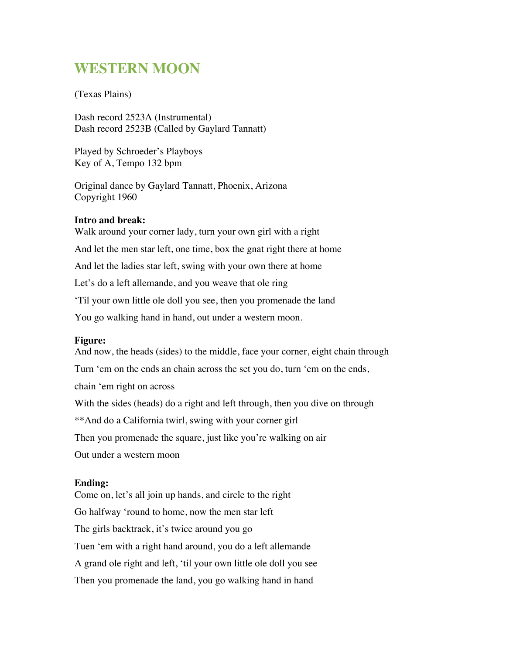# **WESTERN MOON**

(Texas Plains)

Dash record 2523A (Instrumental) Dash record 2523B (Called by Gaylard Tannatt)

Played by Schroeder's Playboys Key of A, Tempo 132 bpm

Original dance by Gaylard Tannatt, Phoenix, Arizona Copyright 1960

### **Intro and break:**

Walk around your corner lady, turn your own girl with a right And let the men star left, one time, box the gnat right there at home And let the ladies star left, swing with your own there at home Let's do a left allemande, and you weave that ole ring 'Til your own little ole doll you see, then you promenade the land You go walking hand in hand, out under a western moon.

### **Figure:**

And now, the heads (sides) to the middle, face your corner, eight chain through Turn 'em on the ends an chain across the set you do, turn 'em on the ends, chain 'em right on across With the sides (heads) do a right and left through, then you dive on through \*\*And do a California twirl, swing with your corner girl Then you promenade the square, just like you're walking on air Out under a western moon

#### **Ending:**

Come on, let's all join up hands, and circle to the right Go halfway 'round to home, now the men star left The girls backtrack, it's twice around you go Tuen 'em with a right hand around, you do a left allemande A grand ole right and left, 'til your own little ole doll you see Then you promenade the land, you go walking hand in hand